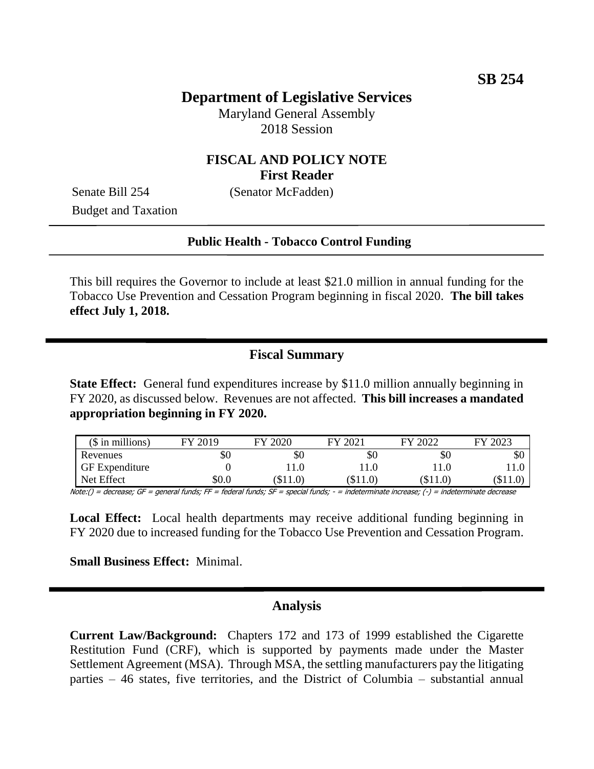## **Department of Legislative Services**

Maryland General Assembly 2018 Session

# **FISCAL AND POLICY NOTE First Reader**

Senate Bill 254 (Senator McFadden) Budget and Taxation

#### **Public Health - Tobacco Control Funding**

This bill requires the Governor to include at least \$21.0 million in annual funding for the Tobacco Use Prevention and Cessation Program beginning in fiscal 2020. **The bill takes effect July 1, 2018.**

### **Fiscal Summary**

**State Effect:** General fund expenditures increase by \$11.0 million annually beginning in FY 2020, as discussed below. Revenues are not affected. **This bill increases a mandated appropriation beginning in FY 2020.**

| $($$ in millions)     | FY 2019 | FY 2020    | FY 2021  | FY 2022  | FY 2023 |
|-----------------------|---------|------------|----------|----------|---------|
| Revenues              | \$0     | \$0        | \$0      | УU       | υU      |
| <b>GF</b> Expenditure |         | (1.0)      | 11.0     |          |         |
| Net Effect            | \$0.0   | $(\$11.0)$ | (\$11.0) | $\$11.0$ | S11.0   |

Note:() = decrease; GF = general funds; FF = federal funds; SF = special funds; - = indeterminate increase; (-) = indeterminate decrease

**Local Effect:** Local health departments may receive additional funding beginning in FY 2020 due to increased funding for the Tobacco Use Prevention and Cessation Program.

**Small Business Effect:** Minimal.

#### **Analysis**

**Current Law/Background:** Chapters 172 and 173 of 1999 established the Cigarette Restitution Fund (CRF), which is supported by payments made under the Master Settlement Agreement (MSA). Through MSA, the settling manufacturers pay the litigating parties – 46 states, five territories, and the District of Columbia – substantial annual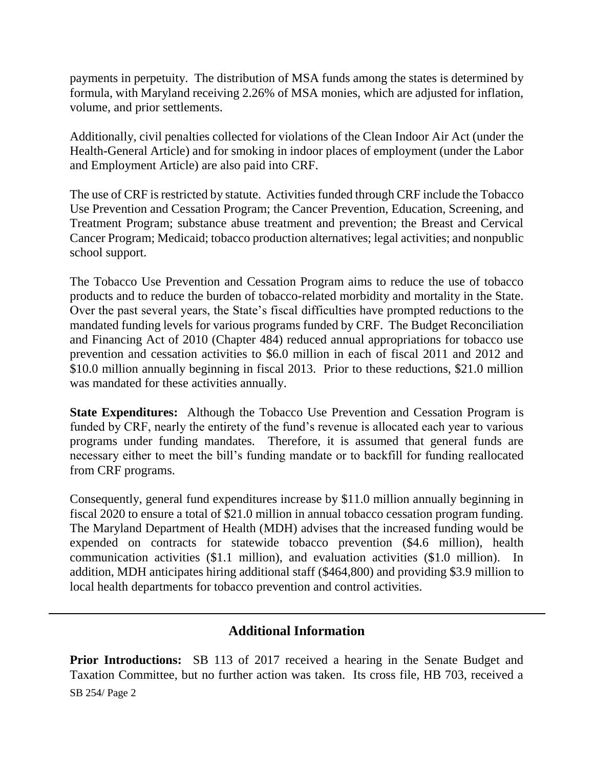payments in perpetuity. The distribution of MSA funds among the states is determined by formula, with Maryland receiving 2.26% of MSA monies, which are adjusted for inflation, volume, and prior settlements.

Additionally, civil penalties collected for violations of the Clean Indoor Air Act (under the Health-General Article) and for smoking in indoor places of employment (under the Labor and Employment Article) are also paid into CRF.

The use of CRF is restricted by statute. Activities funded through CRF include the Tobacco Use Prevention and Cessation Program; the Cancer Prevention, Education, Screening, and Treatment Program; substance abuse treatment and prevention; the Breast and Cervical Cancer Program; Medicaid; tobacco production alternatives; legal activities; and nonpublic school support.

The Tobacco Use Prevention and Cessation Program aims to reduce the use of tobacco products and to reduce the burden of tobacco-related morbidity and mortality in the State. Over the past several years, the State's fiscal difficulties have prompted reductions to the mandated funding levels for various programs funded by CRF. The Budget Reconciliation and Financing Act of 2010 (Chapter 484) reduced annual appropriations for tobacco use prevention and cessation activities to \$6.0 million in each of fiscal 2011 and 2012 and \$10.0 million annually beginning in fiscal 2013. Prior to these reductions, \$21.0 million was mandated for these activities annually.

**State Expenditures:** Although the Tobacco Use Prevention and Cessation Program is funded by CRF, nearly the entirety of the fund's revenue is allocated each year to various programs under funding mandates. Therefore, it is assumed that general funds are necessary either to meet the bill's funding mandate or to backfill for funding reallocated from CRF programs.

Consequently, general fund expenditures increase by \$11.0 million annually beginning in fiscal 2020 to ensure a total of \$21.0 million in annual tobacco cessation program funding. The Maryland Department of Health (MDH) advises that the increased funding would be expended on contracts for statewide tobacco prevention (\$4.6 million), health communication activities (\$1.1 million), and evaluation activities (\$1.0 million). In addition, MDH anticipates hiring additional staff (\$464,800) and providing \$3.9 million to local health departments for tobacco prevention and control activities.

# **Additional Information**

SB 254/ Page 2 **Prior Introductions:** SB 113 of 2017 received a hearing in the Senate Budget and Taxation Committee, but no further action was taken. Its cross file, HB 703, received a